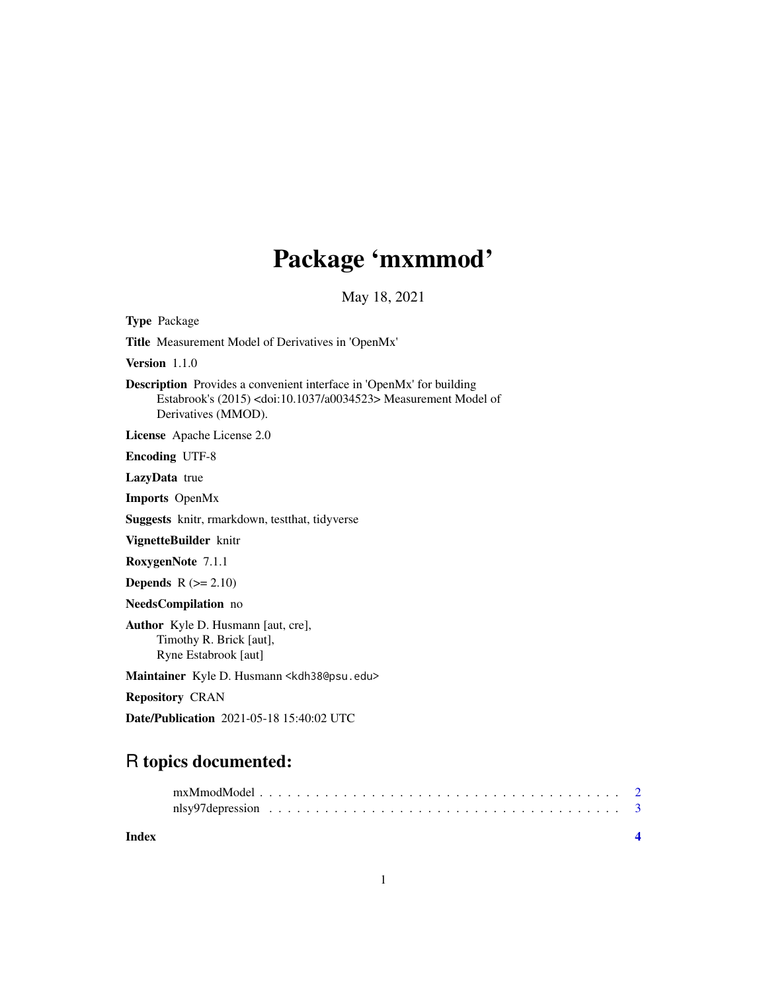## Package 'mxmmod'

May 18, 2021

Type Package Title Measurement Model of Derivatives in 'OpenMx' Version 1.1.0

Description Provides a convenient interface in 'OpenMx' for building Estabrook's (2015) <doi:10.1037/a0034523> Measurement Model of Derivatives (MMOD).

License Apache License 2.0

Encoding UTF-8

LazyData true

Imports OpenMx

Suggests knitr, rmarkdown, testthat, tidyverse

VignetteBuilder knitr

RoxygenNote 7.1.1

**Depends**  $R$  ( $>= 2.10$ )

NeedsCompilation no

Author Kyle D. Husmann [aut, cre], Timothy R. Brick [aut], Ryne Estabrook [aut]

Maintainer Kyle D. Husmann <kdh38@psu.edu>

Repository CRAN

Date/Publication 2021-05-18 15:40:02 UTC

### R topics documented:

**Index** [4](#page-3-0)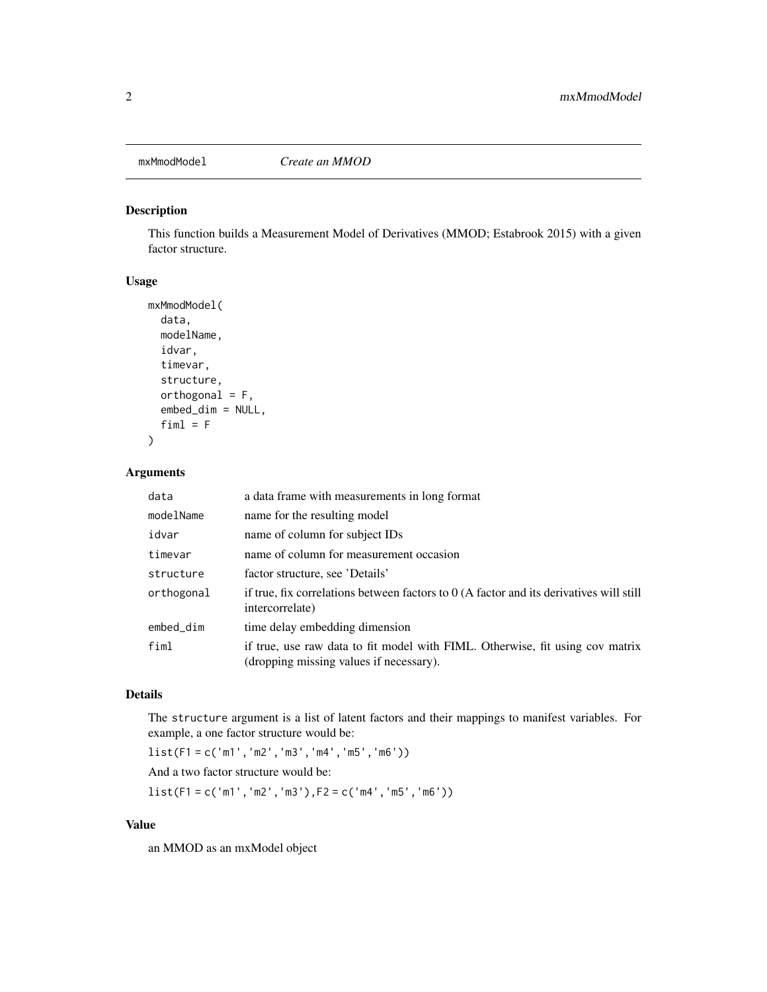<span id="page-1-0"></span>

#### Description

This function builds a Measurement Model of Derivatives (MMOD; Estabrook 2015) with a given factor structure.

#### Usage

```
mxMmodModel(
  data,
  modelName,
  idvar,
  timevar,
  structure,
  orthogonal = F,
  embed_dim = NULL,
  fiml = F)
```
#### Arguments

| data       | a data frame with measurements in long format                                                                            |
|------------|--------------------------------------------------------------------------------------------------------------------------|
| modelName  | name for the resulting model                                                                                             |
| idvar      | name of column for subject IDs                                                                                           |
| timevar    | name of column for measurement occasion                                                                                  |
| structure  | factor structure, see 'Details'                                                                                          |
| orthogonal | if true, fix correlations between factors to $0$ (A factor and its derivatives will still<br>intercorrelate)             |
| embed_dim  | time delay embedding dimension                                                                                           |
| fiml       | if true, use raw data to fit model with FIML. Otherwise, fit using cov matrix<br>(dropping missing values if necessary). |

#### Details

The structure argument is a list of latent factors and their mappings to manifest variables. For example, a one factor structure would be:

list(F1 = c('m1','m2','m3','m4','m5','m6')) And a two factor structure would be:

list(F1 = c('m1','m2','m3'),F2 = c('m4','m5','m6'))

#### Value

an MMOD as an mxModel object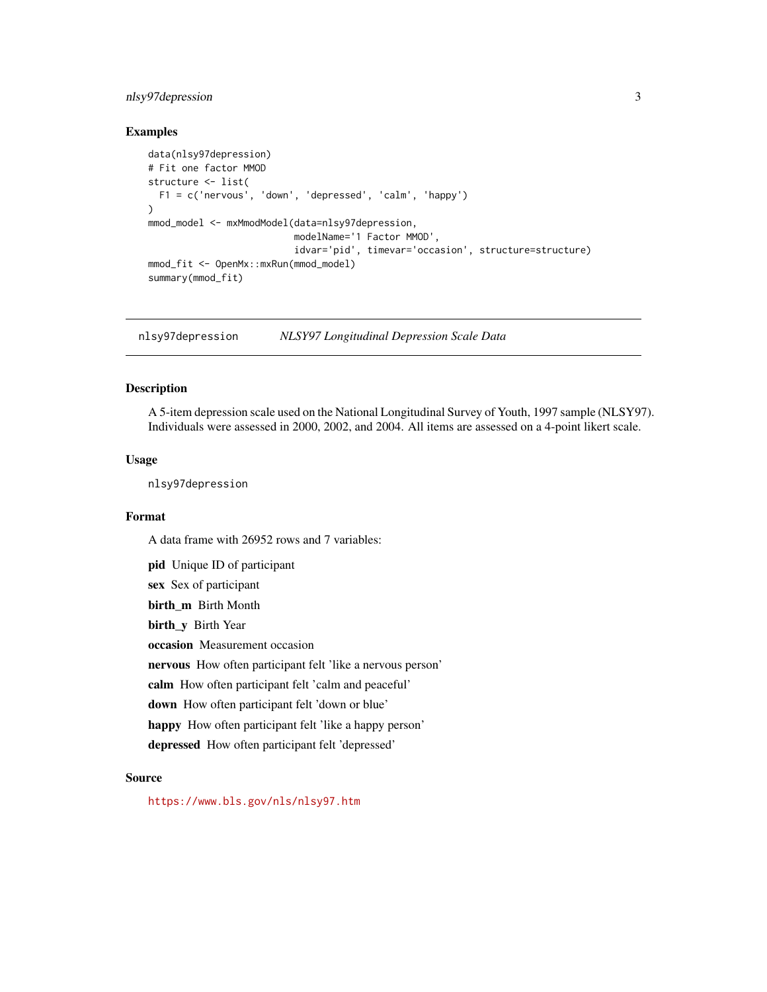#### <span id="page-2-0"></span>nlsy97depression 3

#### Examples

```
data(nlsy97depression)
# Fit one factor MMOD
structure <- list(
  F1 = c('nervous', 'down', 'depressed', 'calm', 'happy')
\lambdammod_model <- mxMmodModel(data=nlsy97depression,
                          modelName='1 Factor MMOD',
                          idvar='pid', timevar='occasion', structure=structure)
mmod_fit <- OpenMx::mxRun(mmod_model)
summary(mmod_fit)
```
nlsy97depression *NLSY97 Longitudinal Depression Scale Data*

#### Description

A 5-item depression scale used on the National Longitudinal Survey of Youth, 1997 sample (NLSY97). Individuals were assessed in 2000, 2002, and 2004. All items are assessed on a 4-point likert scale.

#### Usage

nlsy97depression

#### Format

A data frame with 26952 rows and 7 variables:

pid Unique ID of participant sex Sex of participant birth\_m Birth Month birth\_y Birth Year occasion Measurement occasion nervous How often participant felt 'like a nervous person' calm How often participant felt 'calm and peaceful' down How often participant felt 'down or blue' happy How often participant felt 'like a happy person' depressed How often participant felt 'depressed'

#### Source

<https://www.bls.gov/nls/nlsy97.htm>